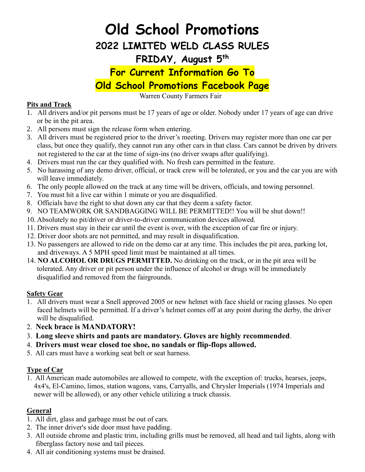# **Old School Promotions**

**2022 LIMITED WELD CLASS RULES**

## **FRIDAY, August 5 th**

# **For Current Information Go To Old School Promotions Facebook Page**

Warren County Farmers Fair

#### **Pits and Track**

- 1. All drivers and/or pit persons must be 17 years of age or older. Nobody under 17 years of age can drive or be in the pit area.
- 2. All persons must sign the release form when entering.
- 3. All drivers must be registered prior to the driver's meeting. Drivers may register more than one car per class, but once they qualify, they cannot run any other cars in that class. Cars cannot be driven by drivers not registered to the car at the time of sign-ins (no driver swaps after qualifying).
- 4. Drivers must run the car they qualified with. No fresh cars permitted in the feature.
- 5. No harassing of any demo driver, official, or track crew will be tolerated, or you and the car you are with will leave immediately.
- 6. The only people allowed on the track at any time will be drivers, officials, and towing personnel.
- 7. You must hit a live car within 1 minute or you are disqualified.
- 8. Officials have the right to shut down any car that they deem a safety factor.
- 9. NO TEAMWORK OR SANDBAGGING WILL BE PERMITTED!! You will be shut down!!
- 10. Absolutely no pit/driver or driver-to-driver communication devices allowed.
- 11. Drivers must stay in their car until the event is over, with the exception of car fire or injury.
- 12. Driver door shots are not permitted, and may result in disqualification.
- 13. No passengers are allowed to ride on the demo car at any time. This includes the pit area, parking lot, and driveways. A 5 MPH speed limit must be maintained at all times.
- 14. **NO ALCOHOL OR DRUGS PERMITTED.** No drinking on the track, or in the pit area will be tolerated. Any driver or pit person under the influence of alcohol or drugs will be immediately disqualified and removed from the fairgrounds.

#### **Safety Gear**

- 1. All drivers must wear a Snell approved 2005 or new helmet with face shield or racing glasses. No open faced helmets will be permitted. If a driver's helmet comes off at any point during the derby, the driver will be disqualified.
- 2. **Neck brace is MANDATORY!**
- 3. **Long sleeve shirts and pants are mandatory. Gloves are highly recommended**.
- 4. **Drivers must wear closed toe shoe, no sandals or flip-flops allowed.**
- 5. All cars must have a working seat belt or seat harness.

## **Type of Car**

1. All American made automobiles are allowed to compete, with the exception of: trucks, hearses, jeeps, 4x4's, El-Camino, limos, station wagons, vans, Carryalls, and Chrysler Imperials (1974 Imperials and newer will be allowed), or any other vehicle utilizing a truck chassis.

## **General**

- 1. All dirt, glass and garbage must be out of cars.
- 2. The inner driver's side door must have padding.
- 3. All outside chrome and plastic trim, including grills must be removed, all head and tail lights, along with fiberglass factory nose and tail pieces.
- 4. All air conditioning systems must be drained.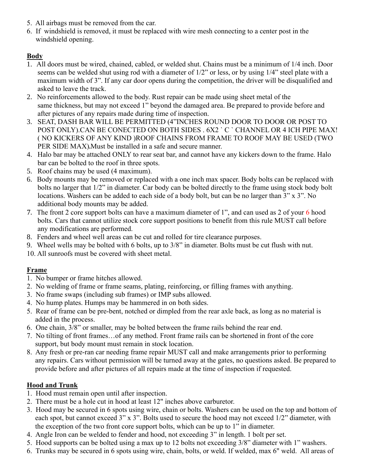- 5. All airbags must be removed from the car.
- 6. If windshield is removed, it must be replaced with wire mesh connecting to a center post in the windshield opening.

#### **Body**

- 1. All doors must be wired, chained, cabled, or welded shut. Chains must be a minimum of 1/4 inch. Door seems can be welded shut using rod with a diameter of 1/2" or less, or by using 1/4" steel plate with a maximum width of 3". If any car door opens during the competition, the driver will be disqualified and asked to leave the track.
- 2. No reinforcements allowed to the body. Rust repair can be made using sheet metal of the same thickness, but may not exceed 1" beyond the damaged area. Be prepared to provide before and after pictures of any repairs made during time of inspection.
- 3. SEAT, DASH BAR WILL BE PERMITTED (4"INCHES ROUND DOOR TO DOOR OR POST TO POST ONLY).CAN BE CONECTED ON BOTH SIDES . 6X2 ` C ` CHANNEL OR 4 ICH PIPE MAX! ( NO KICKERS OF ANY KIND )ROOF CHAINS FROM FRAME TO ROOF MAY BE USED (TWO PER SIDE MAX).Must be installed in a safe and secure manner.
- 4. Halo bar may be attached ONLY to rear seat bar, and cannot have any kickers down to the frame. Halo bar can be bolted to the roof in three spots.
- 5. Roof chains may be used (4 maximum).
- 6. Body mounts may be removed or replaced with a one inch max spacer. Body bolts can be replaced with bolts no larger that 1/2" in diameter. Car body can be bolted directly to the frame using stock body bolt locations. Washers can be added to each side of a body bolt, but can be no larger than 3" x 3". No additional body mounts may be added.
- 7. The front 2 core support bolts can have a maximum diameter of 1", and can used as 2 of your 6 hood bolts. Cars that cannot utilize stock core support positions to benefit from this rule MUST call before any modifications are performed.
- 8. Fenders and wheel well areas can be cut and rolled for tire clearance purposes.
- 9. Wheel wells may be bolted with 6 bolts, up to 3/8" in diameter. Bolts must be cut flush with nut.
- 10. All sunroofs must be covered with sheet metal.

#### **Frame**

- 1. No bumper or frame hitches allowed.
- 2. No welding of frame or frame seams, plating, reinforcing, or filling frames with anything.
- 3. No frame swaps (including sub frames) or IMP subs allowed.
- 4. No hump plates. Humps may be hammered in on both sides.
- 5. Rear of frame can be pre-bent, notched or dimpled from the rear axle back, as long as no material is added in the process.
- 6. One chain, 3/8" or smaller, may be bolted between the frame rails behind the rear end.
- 7. No tilting of front frames…of any method. Front frame rails can be shortened in front of the core support, but body mount must remain in stock location.
- 8. Any fresh or pre-ran car needing frame repair MUST call and make arrangements prior to performing any repairs. Cars without permission will be turned away at the gates, no questions asked. Be prepared to provide before and after pictures of all repairs made at the time of inspection if requested.

#### **Hood and Trunk**

- 1. Hood must remain open until after inspection.
- 2. There must be a hole cut in hood at least 12" inches above carburetor.
- 3. Hood may be secured in 6 spots using wire, chain or bolts. Washers can be used on the top and bottom of each spot, but cannot exceed 3" x 3". Bolts used to secure the hood may not exceed 1/2" diameter, with the exception of the two front core support bolts, which can be up to 1" in diameter.
- 4. Angle Iron can be welded to fender and hood, not exceeding 3" in length. 1 bolt per set.
- 5. Hood supports can be bolted using a max up to 12 bolts not exceeding 3/8" diameter with 1" washers.
- 6. Trunks may be secured in 6 spots using wire, chain, bolts, or weld. If welded, max 6" weld. All areas of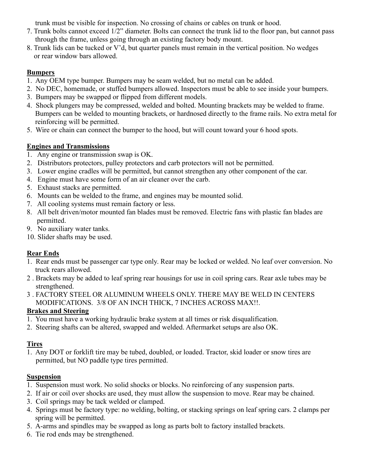trunk must be visible for inspection. No crossing of chains or cables on trunk or hood.

- 7. Trunk bolts cannot exceed 1/2" diameter. Bolts can connect the trunk lid to the floor pan, but cannot pass through the frame, unless going through an existing factory body mount.
- 8. Trunk lids can be tucked or V'd, but quarter panels must remain in the vertical position. No wedges or rear window bars allowed.

#### **Bumpers**

- 1. Any OEM type bumper. Bumpers may be seam welded, but no metal can be added.
- 2. No DEC, homemade, or stuffed bumpers allowed. Inspectors must be able to see inside your bumpers.
- 3. Bumpers may be swapped or flipped from different models.
- 4. Shock plungers may be compressed, welded and bolted. Mounting brackets may be welded to frame. Bumpers can be welded to mounting brackets, or hardnosed directly to the frame rails. No extra metal for reinforcing will be permitted.
- 5. Wire or chain can connect the bumper to the hood, but will count toward your 6 hood spots.

#### **Engines and Transmissions**

- 1. Any engine or transmission swap is OK.
- 2. Distributors protectors, pulley protectors and carb protectors will not be permitted.
- 3. Lower engine cradles will be permitted, but cannot strengthen any other component of the car.
- 4. Engine must have some form of an air cleaner over the carb.
- 5. Exhaust stacks are permitted.
- 6. Mounts can be welded to the frame, and engines may be mounted solid.
- 7. All cooling systems must remain factory or less.
- 8. All belt driven/motor mounted fan blades must be removed. Electric fans with plastic fan blades are permitted.
- 9. No auxiliary water tanks.
- 10. Slider shafts may be used.

#### **Rear Ends**

- 1. Rear ends must be passenger car type only. Rear may be locked or welded. No leaf over conversion. No truck rears allowed.
- 2 . Brackets may be added to leaf spring rear housings for use in coil spring cars. Rear axle tubes may be strengthened.
- 3 . FACTORY STEEL OR ALUMINUM WHEELS ONLY. THERE MAY BE WELD IN CENTERS MODIFICATIONS. 3/8 OF AN INCH THICK, 7 INCHES ACROSS MAX!!.

#### **Brakes and Steering**

- 1. You must have a working hydraulic brake system at all times or risk disqualification.
- 2. Steering shafts can be altered, swapped and welded. Aftermarket setups are also OK.

#### **Tires**

1. Any DOT or forklift tire may be tubed, doubled, or loaded. Tractor, skid loader or snow tires are permitted, but NO paddle type tires permitted.

#### **Suspension**

- 1. Suspension must work. No solid shocks or blocks. No reinforcing of any suspension parts.
- 2. If air or coil over shocks are used, they must allow the suspension to move. Rear may be chained.
- 3. Coil springs may be tack welded or clamped.
- 4. Springs must be factory type: no welding, bolting, or stacking springs on leaf spring cars. 2 clamps per spring will be permitted.
- 5. A-arms and spindles may be swapped as long as parts bolt to factory installed brackets.
- 6. Tie rod ends may be strengthened.